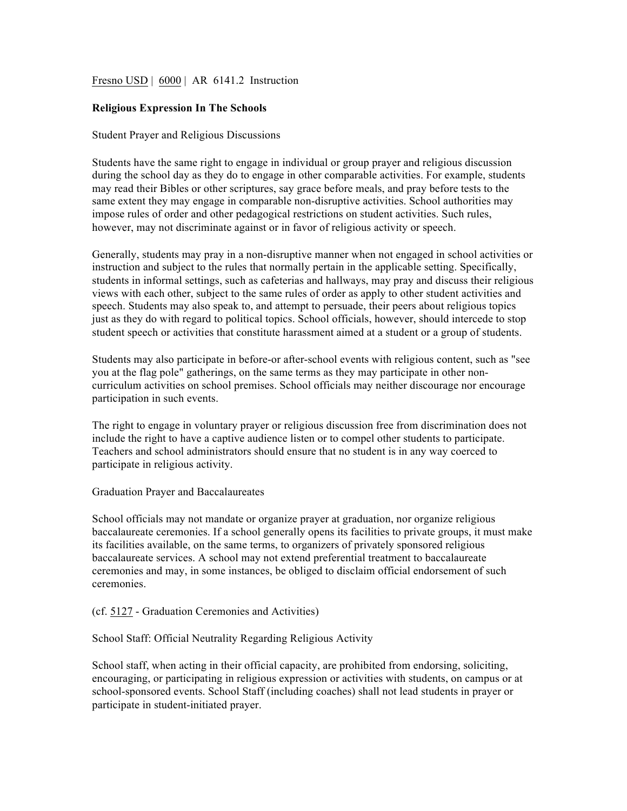## Fresno USD | 6000 | AR 6141.2 Instruction

### **Religious Expression In The Schools**

### Student Prayer and Religious Discussions

Students have the same right to engage in individual or group prayer and religious discussion during the school day as they do to engage in other comparable activities. For example, students may read their Bibles or other scriptures, say grace before meals, and pray before tests to the same extent they may engage in comparable non-disruptive activities. School authorities may impose rules of order and other pedagogical restrictions on student activities. Such rules, however, may not discriminate against or in favor of religious activity or speech.

Generally, students may pray in a non-disruptive manner when not engaged in school activities or instruction and subject to the rules that normally pertain in the applicable setting. Specifically, students in informal settings, such as cafeterias and hallways, may pray and discuss their religious views with each other, subject to the same rules of order as apply to other student activities and speech. Students may also speak to, and attempt to persuade, their peers about religious topics just as they do with regard to political topics. School officials, however, should intercede to stop student speech or activities that constitute harassment aimed at a student or a group of students.

Students may also participate in before-or after-school events with religious content, such as "see you at the flag pole" gatherings, on the same terms as they may participate in other noncurriculum activities on school premises. School officials may neither discourage nor encourage participation in such events.

The right to engage in voluntary prayer or religious discussion free from discrimination does not include the right to have a captive audience listen or to compel other students to participate. Teachers and school administrators should ensure that no student is in any way coerced to participate in religious activity.

Graduation Prayer and Baccalaureates

School officials may not mandate or organize prayer at graduation, nor organize religious baccalaureate ceremonies. If a school generally opens its facilities to private groups, it must make its facilities available, on the same terms, to organizers of privately sponsored religious baccalaureate services. A school may not extend preferential treatment to baccalaureate ceremonies and may, in some instances, be obliged to disclaim official endorsement of such ceremonies.

(cf. 5127 - Graduation Ceremonies and Activities)

School Staff: Official Neutrality Regarding Religious Activity

School staff, when acting in their official capacity, are prohibited from endorsing, soliciting, encouraging, or participating in religious expression or activities with students, on campus or at school-sponsored events. School Staff (including coaches) shall not lead students in prayer or participate in student-initiated prayer.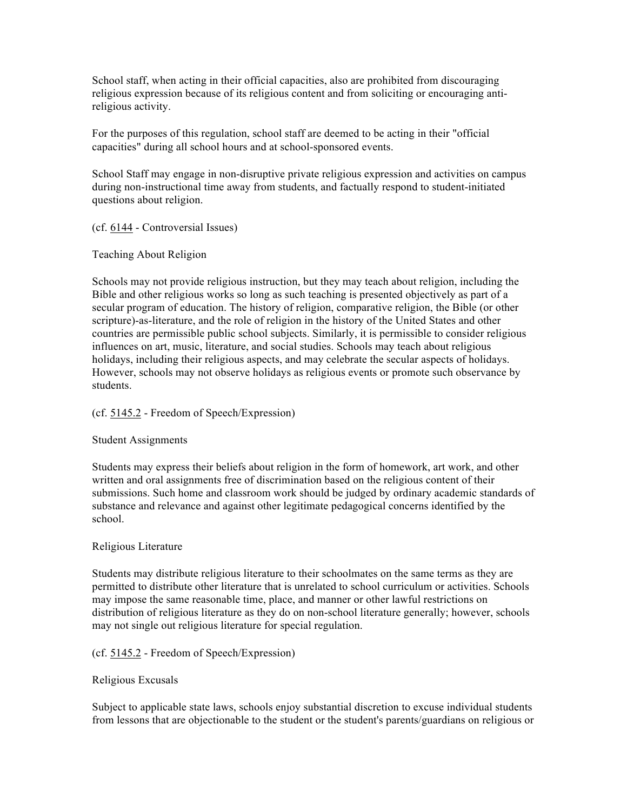School staff, when acting in their official capacities, also are prohibited from discouraging religious expression because of its religious content and from soliciting or encouraging antireligious activity.

For the purposes of this regulation, school staff are deemed to be acting in their "official capacities" during all school hours and at school-sponsored events.

School Staff may engage in non-disruptive private religious expression and activities on campus during non-instructional time away from students, and factually respond to student-initiated questions about religion.

(cf. 6144 - Controversial Issues)

Teaching About Religion

Schools may not provide religious instruction, but they may teach about religion, including the Bible and other religious works so long as such teaching is presented objectively as part of a secular program of education. The history of religion, comparative religion, the Bible (or other scripture)-as-literature, and the role of religion in the history of the United States and other countries are permissible public school subjects. Similarly, it is permissible to consider religious influences on art, music, literature, and social studies. Schools may teach about religious holidays, including their religious aspects, and may celebrate the secular aspects of holidays. However, schools may not observe holidays as religious events or promote such observance by students.

# (cf. 5145.2 - Freedom of Speech/Expression)

#### Student Assignments

Students may express their beliefs about religion in the form of homework, art work, and other written and oral assignments free of discrimination based on the religious content of their submissions. Such home and classroom work should be judged by ordinary academic standards of substance and relevance and against other legitimate pedagogical concerns identified by the school.

# Religious Literature

Students may distribute religious literature to their schoolmates on the same terms as they are permitted to distribute other literature that is unrelated to school curriculum or activities. Schools may impose the same reasonable time, place, and manner or other lawful restrictions on distribution of religious literature as they do on non-school literature generally; however, schools may not single out religious literature for special regulation.

# (cf. 5145.2 - Freedom of Speech/Expression)

# Religious Excusals

Subject to applicable state laws, schools enjoy substantial discretion to excuse individual students from lessons that are objectionable to the student or the student's parents/guardians on religious or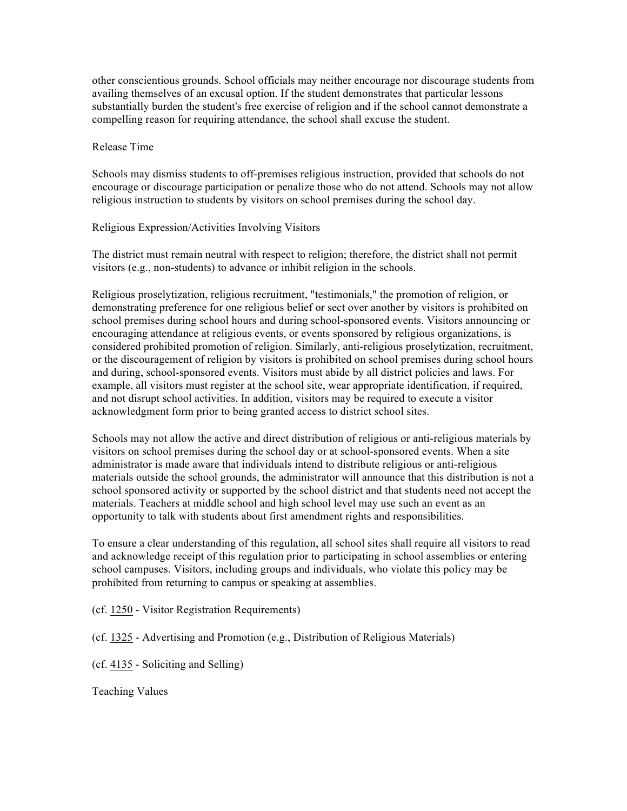other conscientious grounds. School officials may neither encourage nor discourage students from availing themselves of an excusal option. If the student demonstrates that particular lessons substantially burden the student's free exercise of religion and if the school cannot demonstrate a compelling reason for requiring attendance, the school shall excuse the student.

## Release Time

Schools may dismiss students to off-premises religious instruction, provided that schools do not encourage or discourage participation or penalize those who do not attend. Schools may not allow religious instruction to students by visitors on school premises during the school day.

### Religious Expression/Activities Involving Visitors

The district must remain neutral with respect to religion; therefore, the district shall not permit visitors (e.g., non-students) to advance or inhibit religion in the schools.

Religious proselytization, religious recruitment, "testimonials," the promotion of religion, or demonstrating preference for one religious belief or sect over another by visitors is prohibited on school premises during school hours and during school-sponsored events. Visitors announcing or encouraging attendance at religious events, or events sponsored by religious organizations, is considered prohibited promotion of religion. Similarly, anti-religious proselytization, recruitment, or the discouragement of religion by visitors is prohibited on school premises during school hours and during, school-sponsored events. Visitors must abide by all district policies and laws. For example, all visitors must register at the school site, wear appropriate identification, if required, and not disrupt school activities. In addition, visitors may be required to execute a visitor acknowledgment form prior to being granted access to district school sites.

Schools may not allow the active and direct distribution of religious or anti-religious materials by visitors on school premises during the school day or at school-sponsored events. When a site administrator is made aware that individuals intend to distribute religious or anti-religious materials outside the school grounds, the administrator will announce that this distribution is not a school sponsored activity or supported by the school district and that students need not accept the materials. Teachers at middle school and high school level may use such an event as an opportunity to talk with students about first amendment rights and responsibilities.

To ensure a clear understanding of this regulation, all school sites shall require all visitors to read and acknowledge receipt of this regulation prior to participating in school assemblies or entering school campuses. Visitors, including groups and individuals, who violate this policy may be prohibited from returning to campus or speaking at assemblies.

(cf. 1250 - Visitor Registration Requirements)

(cf. 1325 - Advertising and Promotion (e.g., Distribution of Religious Materials)

(cf. 4135 - Soliciting and Selling)

Teaching Values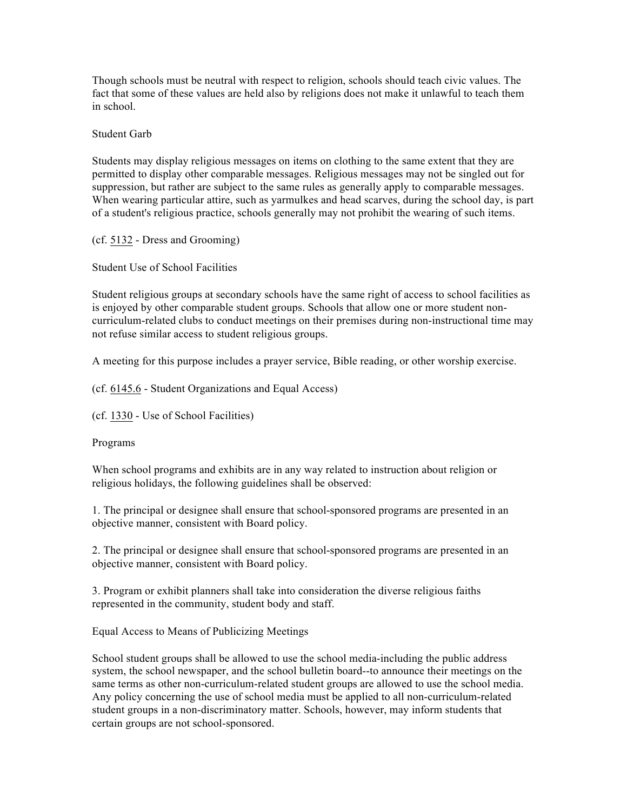Though schools must be neutral with respect to religion, schools should teach civic values. The fact that some of these values are held also by religions does not make it unlawful to teach them in school.

## Student Garb

Students may display religious messages on items on clothing to the same extent that they are permitted to display other comparable messages. Religious messages may not be singled out for suppression, but rather are subject to the same rules as generally apply to comparable messages. When wearing particular attire, such as yarmulkes and head scarves, during the school day, is part of a student's religious practice, schools generally may not prohibit the wearing of such items.

(cf. 5132 - Dress and Grooming)

Student Use of School Facilities

Student religious groups at secondary schools have the same right of access to school facilities as is enjoyed by other comparable student groups. Schools that allow one or more student noncurriculum-related clubs to conduct meetings on their premises during non-instructional time may not refuse similar access to student religious groups.

A meeting for this purpose includes a prayer service, Bible reading, or other worship exercise.

(cf. 6145.6 - Student Organizations and Equal Access)

(cf. 1330 - Use of School Facilities)

Programs

When school programs and exhibits are in any way related to instruction about religion or religious holidays, the following guidelines shall be observed:

1. The principal or designee shall ensure that school-sponsored programs are presented in an objective manner, consistent with Board policy.

2. The principal or designee shall ensure that school-sponsored programs are presented in an objective manner, consistent with Board policy.

3. Program or exhibit planners shall take into consideration the diverse religious faiths represented in the community, student body and staff.

Equal Access to Means of Publicizing Meetings

School student groups shall be allowed to use the school media-including the public address system, the school newspaper, and the school bulletin board--to announce their meetings on the same terms as other non-curriculum-related student groups are allowed to use the school media. Any policy concerning the use of school media must be applied to all non-curriculum-related student groups in a non-discriminatory matter. Schools, however, may inform students that certain groups are not school-sponsored.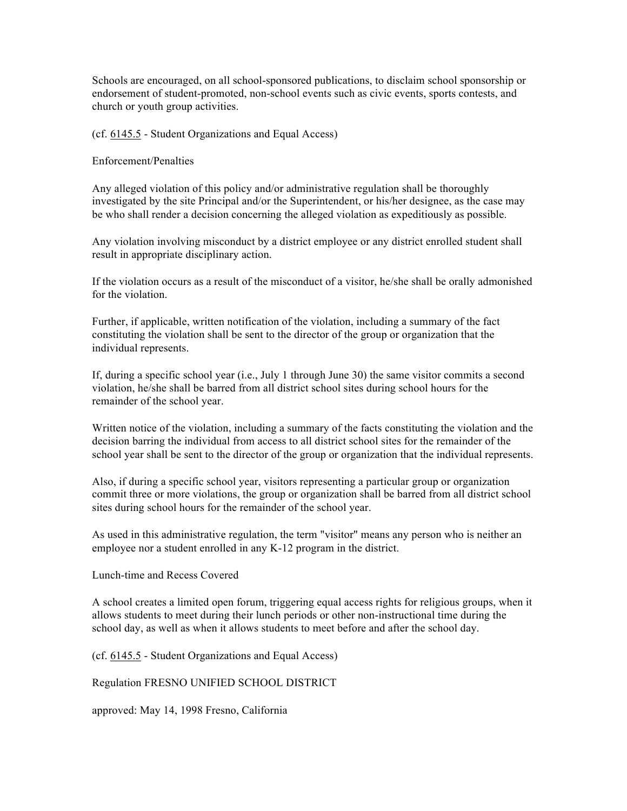Schools are encouraged, on all school-sponsored publications, to disclaim school sponsorship or endorsement of student-promoted, non-school events such as civic events, sports contests, and church or youth group activities.

### (cf. 6145.5 - Student Organizations and Equal Access)

Enforcement/Penalties

Any alleged violation of this policy and/or administrative regulation shall be thoroughly investigated by the site Principal and/or the Superintendent, or his/her designee, as the case may be who shall render a decision concerning the alleged violation as expeditiously as possible.

Any violation involving misconduct by a district employee or any district enrolled student shall result in appropriate disciplinary action.

If the violation occurs as a result of the misconduct of a visitor, he/she shall be orally admonished for the violation.

Further, if applicable, written notification of the violation, including a summary of the fact constituting the violation shall be sent to the director of the group or organization that the individual represents.

If, during a specific school year (i.e., July 1 through June 30) the same visitor commits a second violation, he/she shall be barred from all district school sites during school hours for the remainder of the school year.

Written notice of the violation, including a summary of the facts constituting the violation and the decision barring the individual from access to all district school sites for the remainder of the school year shall be sent to the director of the group or organization that the individual represents.

Also, if during a specific school year, visitors representing a particular group or organization commit three or more violations, the group or organization shall be barred from all district school sites during school hours for the remainder of the school year.

As used in this administrative regulation, the term "visitor" means any person who is neither an employee nor a student enrolled in any K-12 program in the district.

Lunch-time and Recess Covered

A school creates a limited open forum, triggering equal access rights for religious groups, when it allows students to meet during their lunch periods or other non-instructional time during the school day, as well as when it allows students to meet before and after the school day.

(cf. 6145.5 - Student Organizations and Equal Access)

Regulation FRESNO UNIFIED SCHOOL DISTRICT

approved: May 14, 1998 Fresno, California